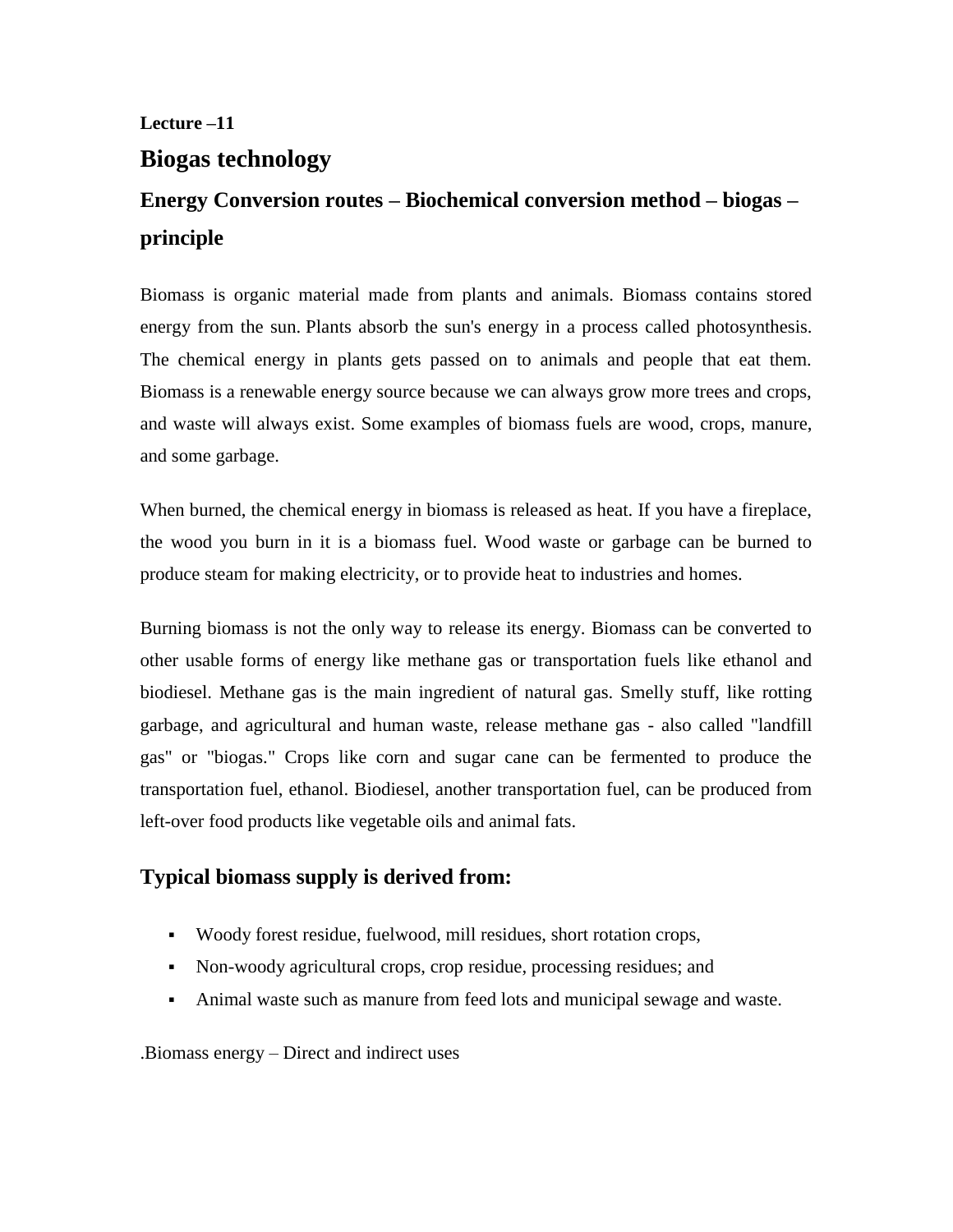# **Lecture –11 Biogas technology**

# **Energy Conversion routes – Biochemical conversion method – biogas – principle**

Biomass is organic material made from plants and animals. Biomass contains stored energy from the sun. Plants absorb the sun's energy in a process called photosynthesis. The chemical energy in plants gets passed on to animals and people that eat them. Biomass is a renewable energy source because we can always grow more trees and crops, and waste will always exist. Some examples of biomass fuels are wood, crops, manure, and some garbage.

When burned, the chemical energy in biomass is released as heat. If you have a fireplace, the wood you burn in it is a biomass fuel. Wood waste or garbage can be burned to produce steam for making electricity, or to provide heat to industries and homes.

Burning biomass is not the only way to release its energy. Biomass can be converted to other usable forms of energy like methane gas or transportation fuels like ethanol and biodiesel. Methane gas is the main ingredient of natural gas. Smelly stuff, like rotting garbage, and agricultural and human waste, release methane gas - also called "landfill gas" or "biogas." Crops like corn and sugar cane can be fermented to produce the transportation fuel, ethanol. Biodiesel, another transportation fuel, can be produced from left-over food products like vegetable oils and animal fats.

# **Typical biomass supply is derived from:**

- Woody forest residue, fuelwood, mill residues, short rotation crops,
- Non-woody agricultural crops, crop residue, processing residues; and
- Animal waste such as manure from feed lots and municipal sewage and waste.

.Biomass energy – Direct and indirect uses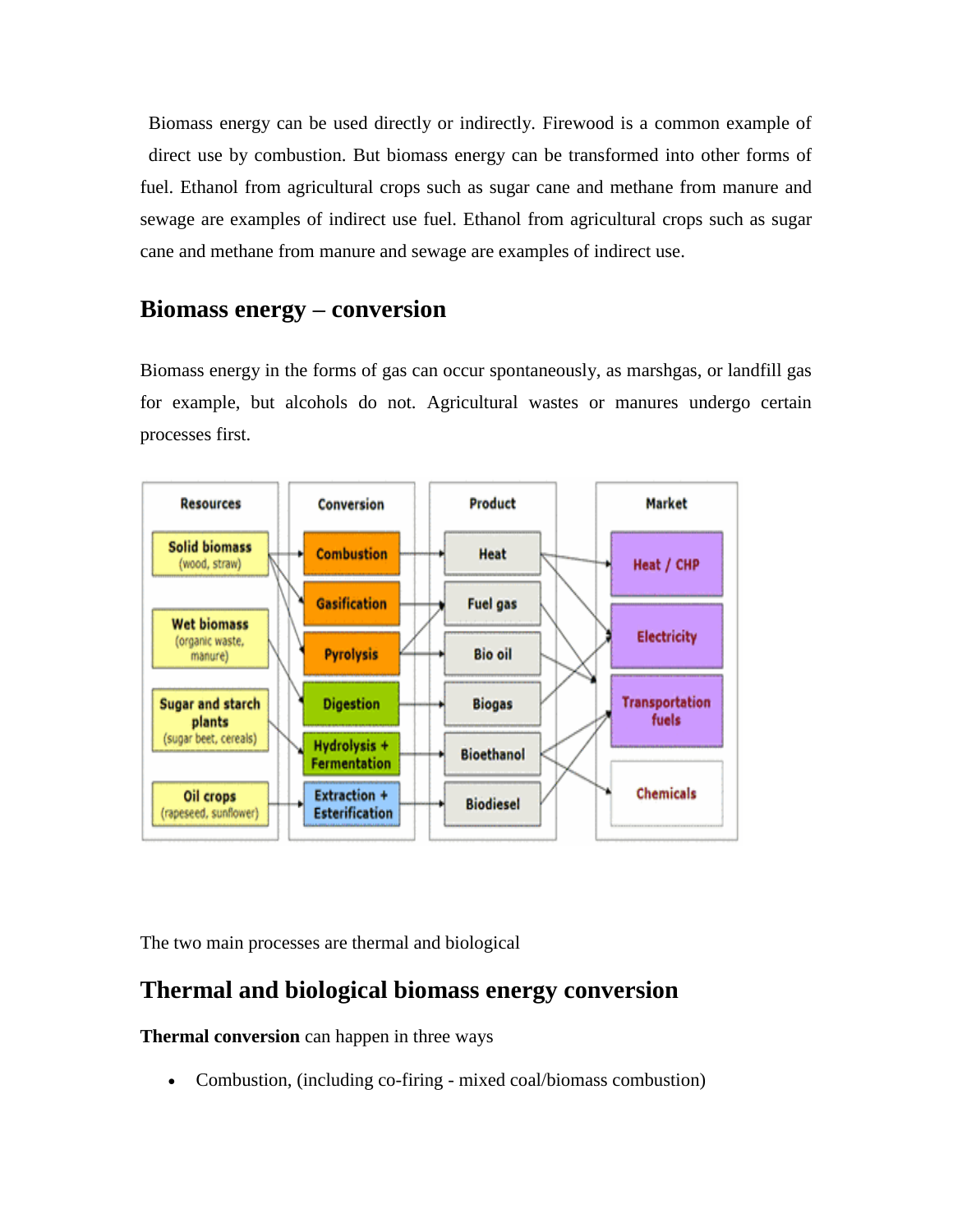Biomass energy can be used directly or indirectly. Firewood is a common example of direct use by combustion. But biomass energy can be transformed into other forms of fuel. Ethanol from agricultural crops such as sugar cane and methane from manure and sewage are examples of indirect use fuel. Ethanol from agricultural crops such as sugar cane and methane from manure and sewage are examples of indirect use.

## **Biomass energy – conversion**

Biomass energy in the forms of gas can occur spontaneously, as marshgas, or landfill gas for example, but alcohols do not. Agricultural wastes or manures undergo certain processes first.



The two main processes are thermal and biological

# **Thermal and biological biomass energy conversion**

**Thermal conversion** can happen in three ways

Combustion, (including co-firing - mixed coal/biomass combustion)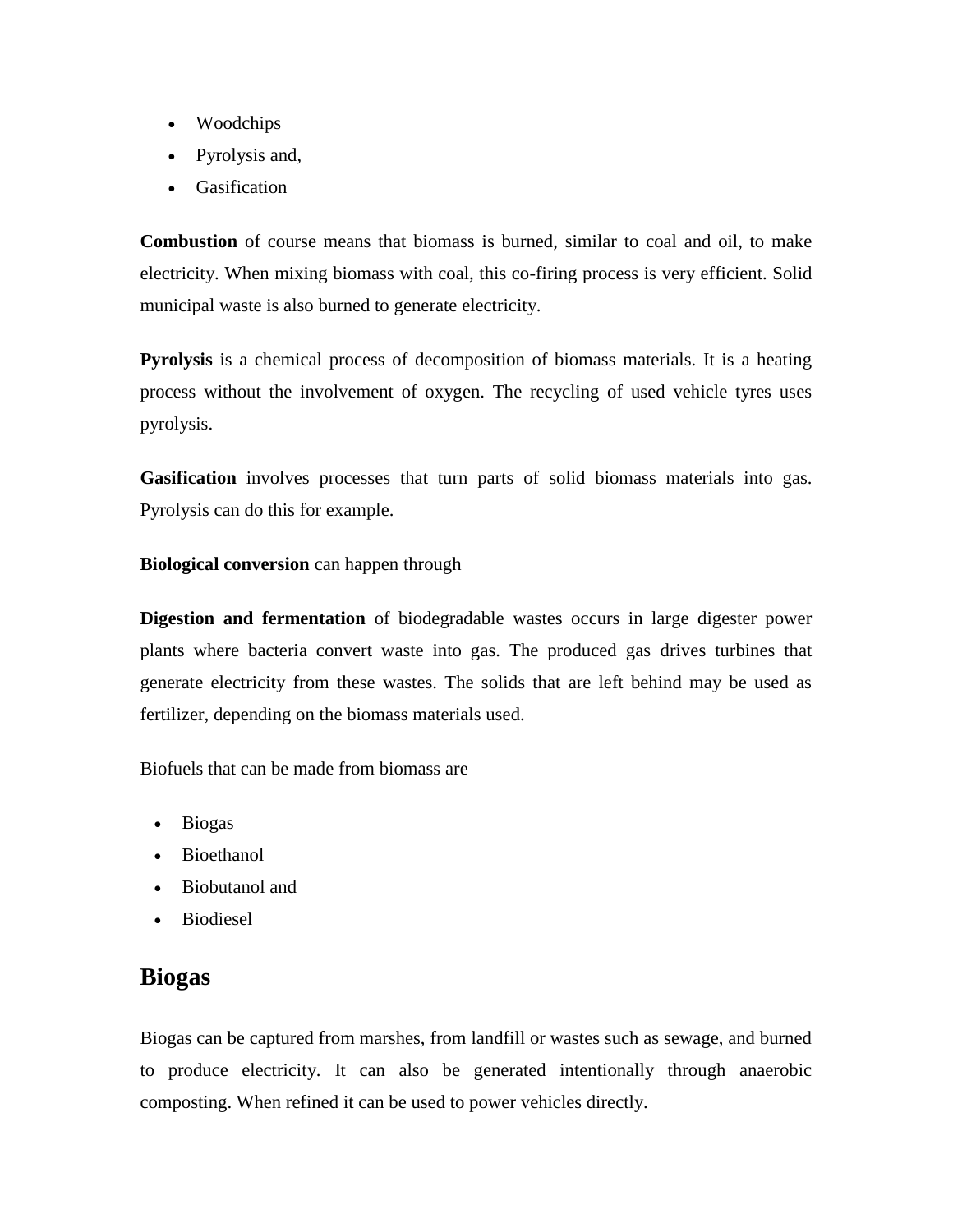- Woodchips
- Pyrolysis and,
- Gasification

**Combustion** of course means that biomass is burned, similar to coal and oil, to make electricity. When mixing biomass with coal, this co-firing process is very efficient. Solid municipal waste is also burned to generate electricity.

**Pyrolysis** is a chemical process of decomposition of biomass materials. It is a heating process without the involvement of oxygen. The recycling of used vehicle tyres uses pyrolysis.

**Gasification** involves processes that turn parts of solid biomass materials into gas. Pyrolysis can do this for example.

#### **Biological conversion** can happen through

**Digestion and fermentation** of biodegradable wastes occurs in large digester power plants where bacteria convert waste into gas. The produced gas drives turbines that generate electricity from these wastes. The solids that are left behind may be used as fertilizer, depending on the biomass materials used.

[Biofuels that can be made from biomass](http://www.biomassenergyfoundation.org/) are

- Biogas
- Bioethanol
- Biobutanol and
- Biodiesel

## **Biogas**

Biogas can be captured from marshes, from landfill or wastes such as sewage, and burned to produce electricity. It can also be generated intentionally through anaerobic composting. When refined it can be used to power vehicles directly.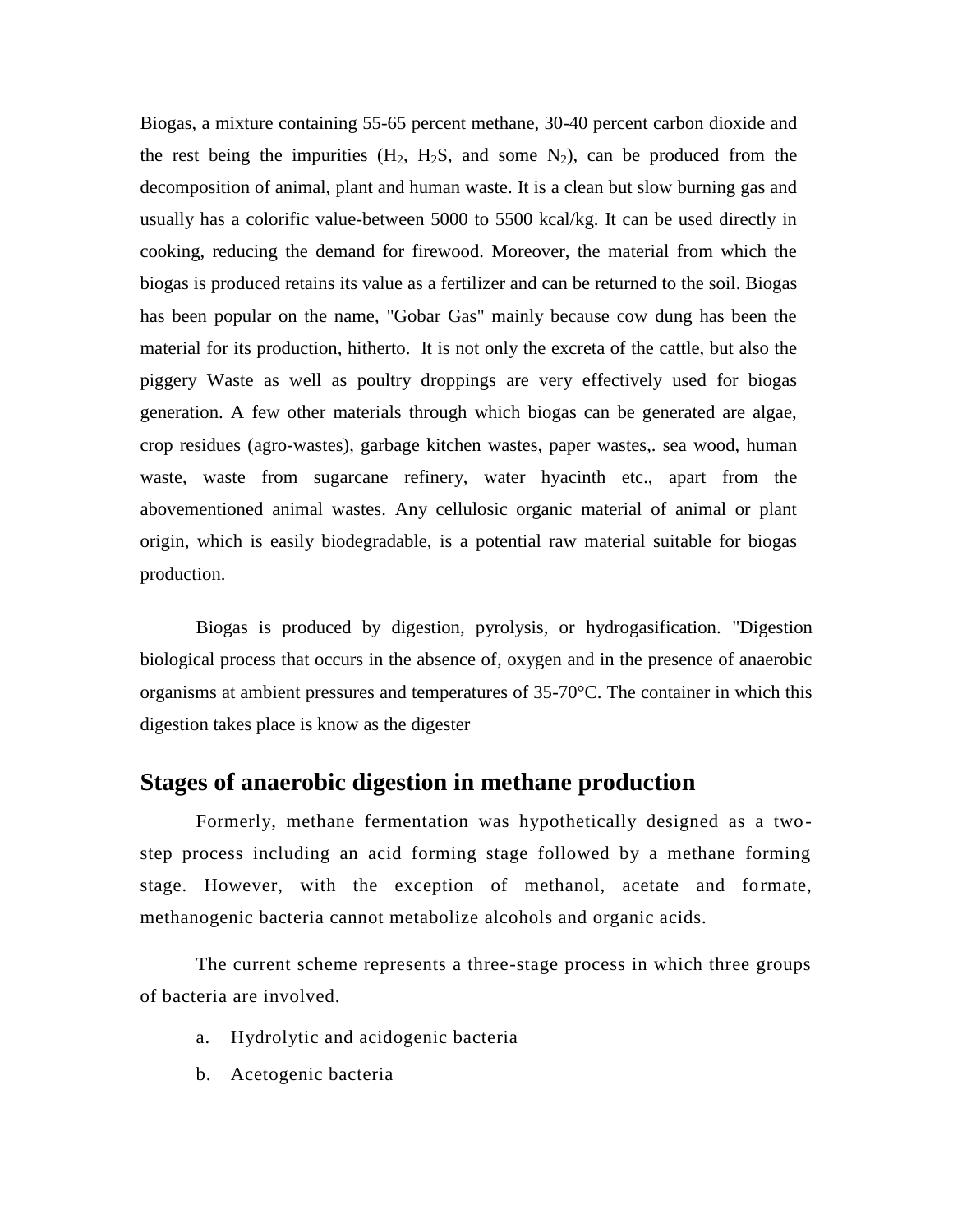Biogas, a mixture containing 55-65 percent methane, 30-40 percent carbon dioxide and the rest being the impurities  $(H_2, H_2S,$  and some  $N_2$ ), can be produced from the decomposition of animal, plant and human waste. It is a clean but slow burning gas and usually has a colorific value-between 5000 to 5500 kcal/kg. It can be used directly in cooking, reducing the demand for firewood. Moreover, the material from which the biogas is produced retains its value as a fertilizer and can be returned to the soil. Biogas has been popular on the name, "Gobar Gas" mainly because cow dung has been the material for its production, hitherto. It is not only the excreta of the cattle, but also the piggery Waste as well as poultry droppings are very effectively used for biogas generation. A few other materials through which biogas can be generated are algae, crop residues (agro-wastes), garbage kitchen wastes, paper wastes,. sea wood, human waste, waste from sugarcane refinery, water hyacinth etc., apart from the abovementioned animal wastes. Any cellulosic organic material of animal or plant origin, which is easily biodegradable, is a potential raw material suitable for biogas production.

Biogas is produced by digestion, pyrolysis, or hydrogasification. "Digestion biological process that occurs in the absence of, oxygen and in the presence of anaerobic organisms at ambient pressures and temperatures of 35-70°C. The container in which this digestion takes place is know as the digester

### **Stages of anaerobic digestion in methane production**

Formerly, methane fermentation was hypothetically designed as a twostep process including an acid forming stage followed by a methane forming stage. However, with the exception of methanol, acetate and formate, methanogenic bacteria cannot metabolize alcohols and organic acids.

The current scheme represents a three-stage process in which three groups of bacteria are involved.

- a. Hydrolytic and acidogenic bacteria
- b. Acetogenic bacteria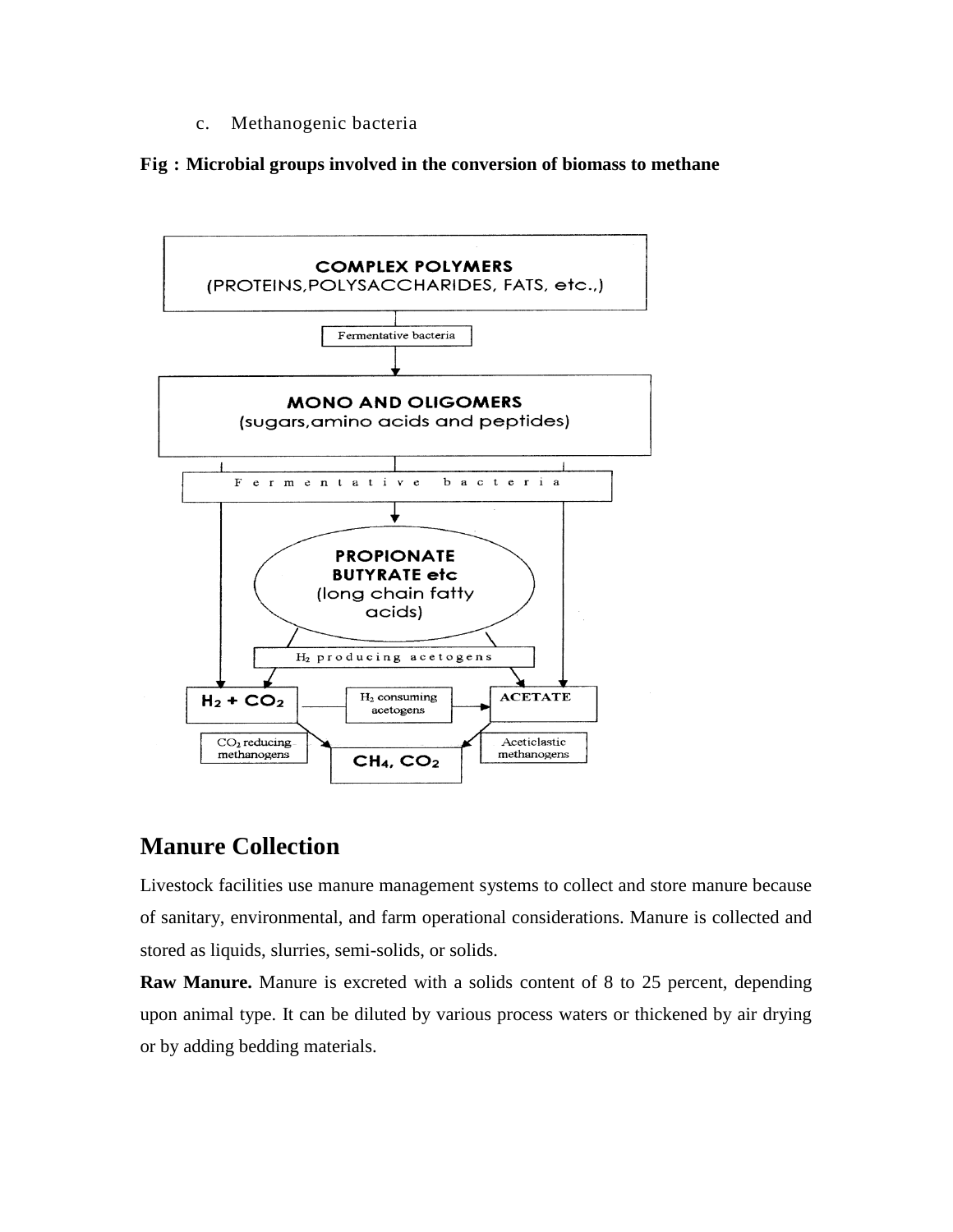c. Methanogenic bacteria

**Fig : Microbial groups involved in the conversion of biomass to methane**



# **Manure Collection**

Livestock facilities use manure management systems to collect and store manure because of sanitary, environmental, and farm operational considerations. Manure is collected and stored as liquids, slurries, semi-solids, or solids.

**Raw Manure.** Manure is excreted with a solids content of 8 to 25 percent, depending upon animal type. It can be diluted by various process waters or thickened by air drying or by adding bedding materials.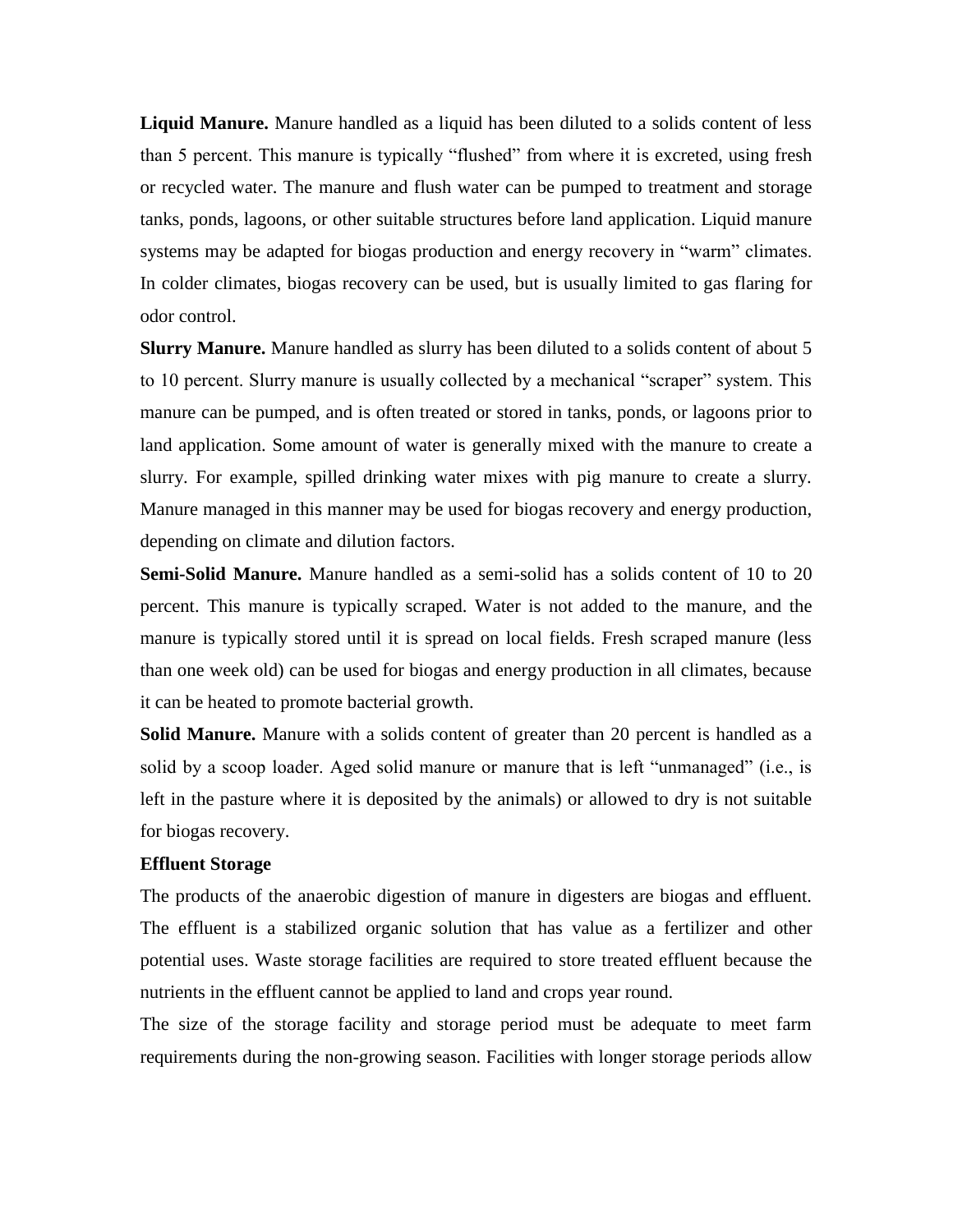**Liquid Manure.** Manure handled as a liquid has been diluted to a solids content of less than 5 percent. This manure is typically "flushed" from where it is excreted, using fresh or recycled water. The manure and flush water can be pumped to treatment and storage tanks, ponds, lagoons, or other suitable structures before land application. Liquid manure systems may be adapted for biogas production and energy recovery in "warm" climates. In colder climates, biogas recovery can be used, but is usually limited to gas flaring for odor control.

**Slurry Manure.** Manure handled as slurry has been diluted to a solids content of about 5 to 10 percent. Slurry manure is usually collected by a mechanical "scraper" system. This manure can be pumped, and is often treated or stored in tanks, ponds, or lagoons prior to land application. Some amount of water is generally mixed with the manure to create a slurry. For example, spilled drinking water mixes with pig manure to create a slurry. Manure managed in this manner may be used for biogas recovery and energy production, depending on climate and dilution factors.

**Semi-Solid Manure.** Manure handled as a semi-solid has a solids content of 10 to 20 percent. This manure is typically scraped. Water is not added to the manure, and the manure is typically stored until it is spread on local fields. Fresh scraped manure (less than one week old) can be used for biogas and energy production in all climates, because it can be heated to promote bacterial growth.

**Solid Manure.** Manure with a solids content of greater than 20 percent is handled as a solid by a scoop loader. Aged solid manure or manure that is left "unmanaged" (i.e., is left in the pasture where it is deposited by the animals) or allowed to dry is not suitable for biogas recovery.

#### **Effluent Storage**

The products of the anaerobic digestion of manure in digesters are biogas and effluent. The effluent is a stabilized organic solution that has value as a fertilizer and other potential uses. Waste storage facilities are required to store treated effluent because the nutrients in the effluent cannot be applied to land and crops year round.

The size of the storage facility and storage period must be adequate to meet farm requirements during the non-growing season. Facilities with longer storage periods allow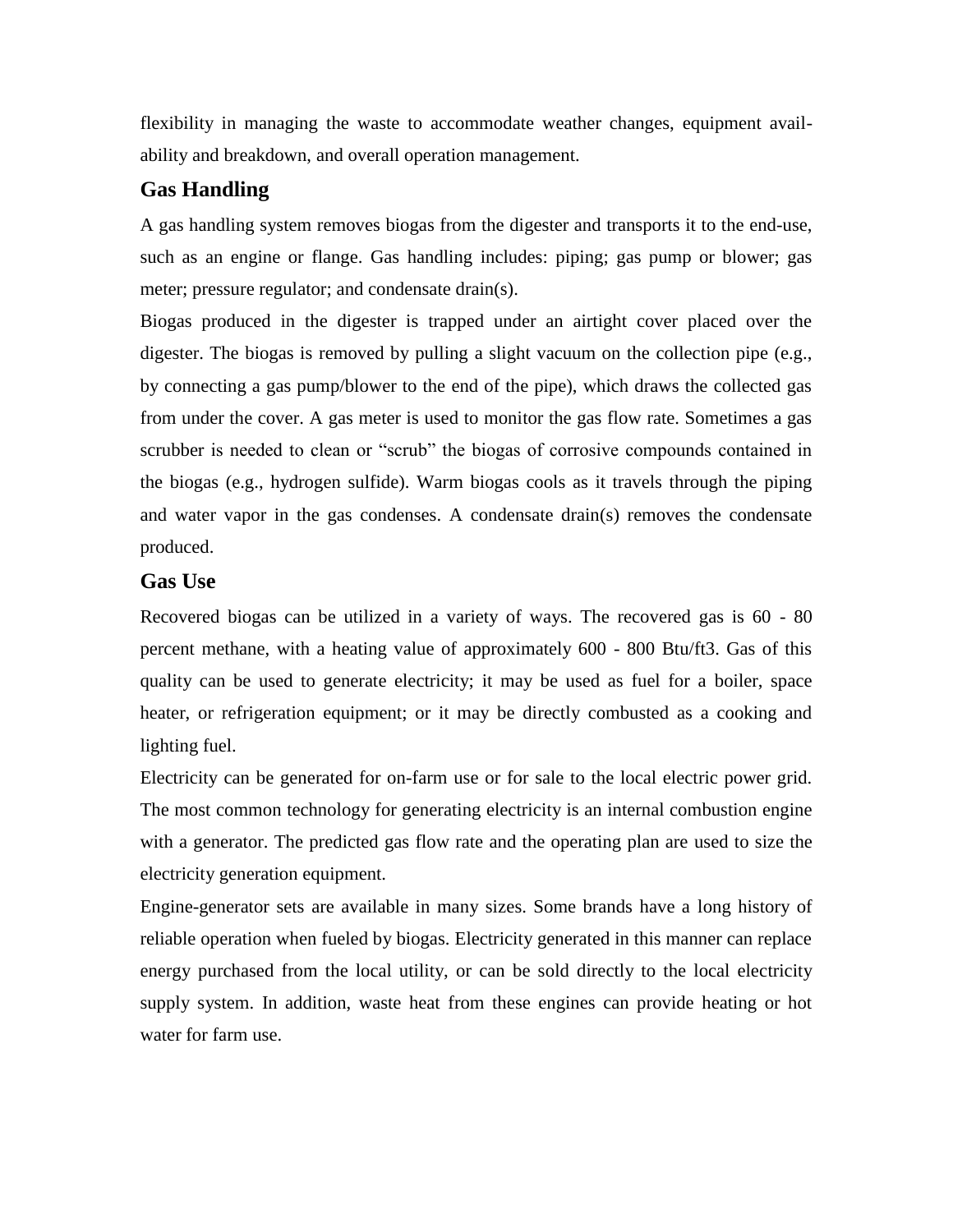flexibility in managing the waste to accommodate weather changes, equipment availability and breakdown, and overall operation management.

## **Gas Handling**

A gas handling system removes biogas from the digester and transports it to the end-use, such as an engine or flange. Gas handling includes: piping; gas pump or blower; gas meter; pressure regulator; and condensate drain(s).

Biogas produced in the digester is trapped under an airtight cover placed over the digester. The biogas is removed by pulling a slight vacuum on the collection pipe (e.g., by connecting a gas pump/blower to the end of the pipe), which draws the collected gas from under the cover. A gas meter is used to monitor the gas flow rate. Sometimes a gas scrubber is needed to clean or "scrub" the biogas of corrosive compounds contained in the biogas (e.g., hydrogen sulfide). Warm biogas cools as it travels through the piping and water vapor in the gas condenses. A condensate drain(s) removes the condensate produced.

#### **Gas Use**

Recovered biogas can be utilized in a variety of ways. The recovered gas is 60 - 80 percent methane, with a heating value of approximately 600 - 800 Btu/ft3. Gas of this quality can be used to generate electricity; it may be used as fuel for a boiler, space heater, or refrigeration equipment; or it may be directly combusted as a cooking and lighting fuel.

Electricity can be generated for on-farm use or for sale to the local electric power grid. The most common technology for generating electricity is an internal combustion engine with a generator. The predicted gas flow rate and the operating plan are used to size the electricity generation equipment.

Engine-generator sets are available in many sizes. Some brands have a long history of reliable operation when fueled by biogas. Electricity generated in this manner can replace energy purchased from the local utility, or can be sold directly to the local electricity supply system. In addition, waste heat from these engines can provide heating or hot water for farm use.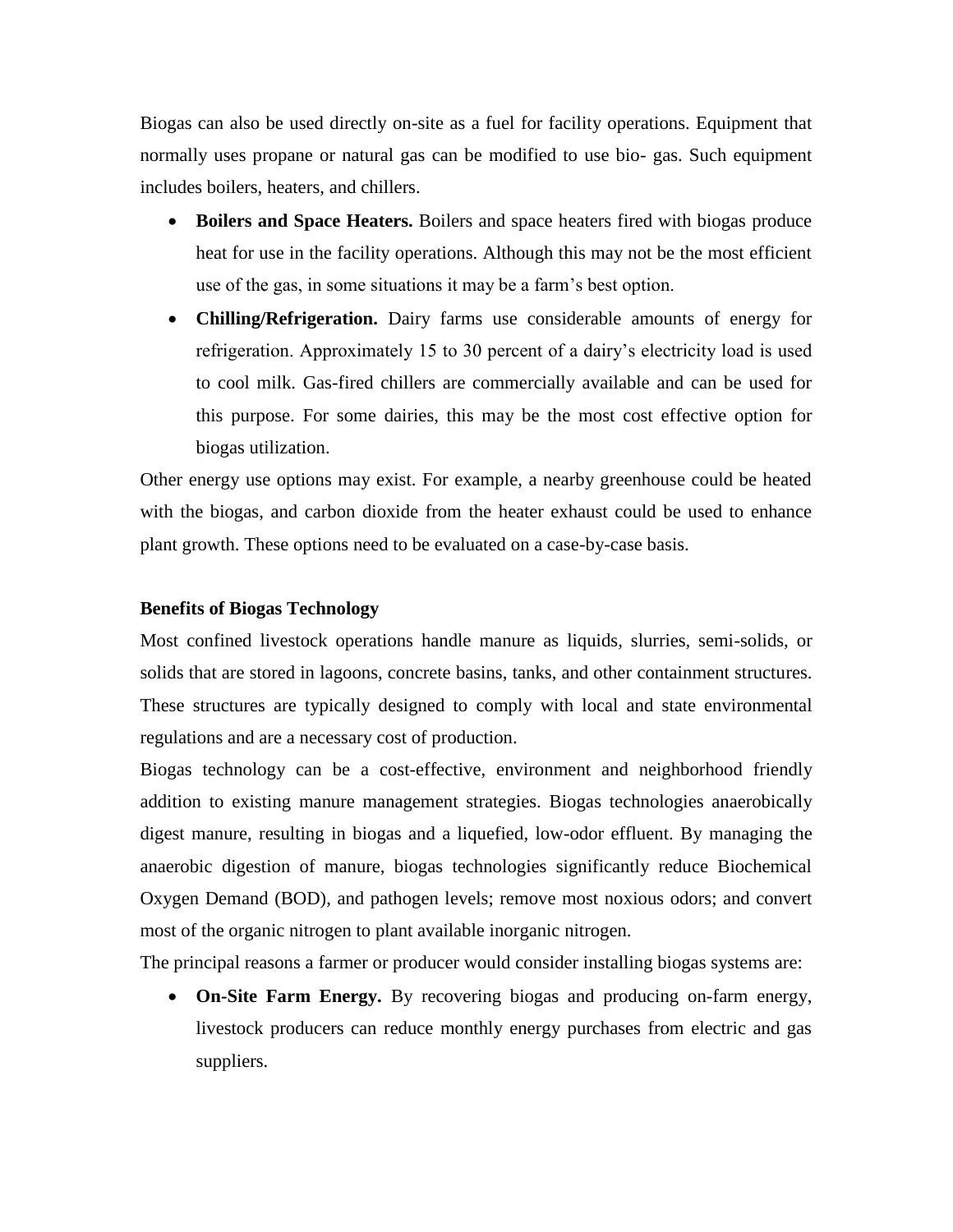Biogas can also be used directly on-site as a fuel for facility operations. Equipment that normally uses propane or natural gas can be modified to use bio- gas. Such equipment includes boilers, heaters, and chillers.

- **Boilers and Space Heaters.** Boilers and space heaters fired with biogas produce heat for use in the facility operations. Although this may not be the most efficient use of the gas, in some situations it may be a farm's best option.
- **Chilling/Refrigeration.** Dairy farms use considerable amounts of energy for refrigeration. Approximately 15 to 30 percent of a dairy's electricity load is used to cool milk. Gas-fired chillers are commercially available and can be used for this purpose. For some dairies, this may be the most cost effective option for biogas utilization.

Other energy use options may exist. For example, a nearby greenhouse could be heated with the biogas, and carbon dioxide from the heater exhaust could be used to enhance plant growth. These options need to be evaluated on a case-by-case basis.

#### **Benefits of Biogas Technology**

Most confined livestock operations handle manure as liquids, slurries, semi-solids, or solids that are stored in lagoons, concrete basins, tanks, and other containment structures. These structures are typically designed to comply with local and state environmental regulations and are a necessary cost of production.

Biogas technology can be a cost-effective, environment and neighborhood friendly addition to existing manure management strategies. Biogas technologies anaerobically digest manure, resulting in biogas and a liquefied, low-odor effluent. By managing the anaerobic digestion of manure, biogas technologies significantly reduce Biochemical Oxygen Demand (BOD), and pathogen levels; remove most noxious odors; and convert most of the organic nitrogen to plant available inorganic nitrogen.

The principal reasons a farmer or producer would consider installing biogas systems are:

 **On-Site Farm Energy.** By recovering biogas and producing on-farm energy, livestock producers can reduce monthly energy purchases from electric and gas suppliers.